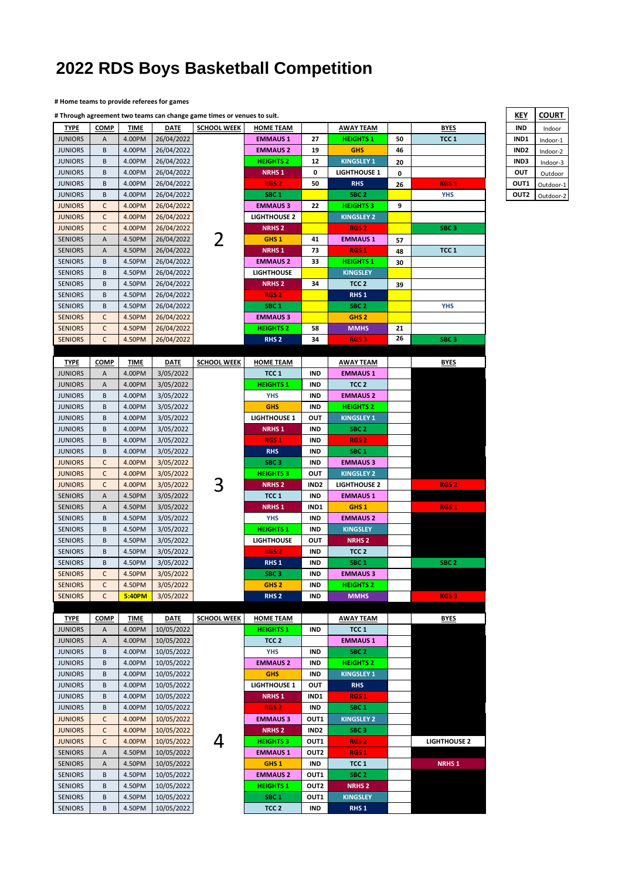## **2022 RDS Boys Basketball Competition**

## **# Home teams to provide referees for games**

|                                  | # Through agreement two teams can change game times or venues to suit. |                  |                        |                    |                                     |                  |                                      | KEY      | <b>COURT</b>        |                  |           |
|----------------------------------|------------------------------------------------------------------------|------------------|------------------------|--------------------|-------------------------------------|------------------|--------------------------------------|----------|---------------------|------------------|-----------|
| <b>TYPE</b>                      | <b>COMP</b>                                                            | <b>TIME</b>      | <b>DATE</b>            | <b>SCHOOL WEEK</b> | <b>HOME TEAM</b>                    |                  | <b>AWAY TEAM</b>                     |          | <b>BYES</b>         | IND              | Indoor    |
| <b>JUNIORS</b>                   | Α                                                                      | 4.00PM           | 26/04/2022             |                    | <b>EMMAUS1</b>                      | 27               | <b>HEIGHTS 1</b>                     | 50       | TCC <sub>1</sub>    | IND1             | Indoor-1  |
| <b>JUNIORS</b>                   | B                                                                      | 4.00PM           | 26/04/2022             |                    | <b>EMMAUS 2</b>                     | 19               | <b>GHS</b>                           | 46       |                     | IND <sub>2</sub> | Indoor-2  |
| <b>JUNIORS</b>                   | B                                                                      | 4.00PM           | 26/04/2022             |                    | <b>HEIGHTS 2</b>                    | 12               | <b>KINGSLEY 1</b>                    | 20       |                     | IND3             | Indoor-3  |
| <b>JUNIORS</b>                   | B                                                                      | 4.00PM           | 26/04/2022             |                    | <b>NRHS1</b>                        | 0                | <b>LIGHTHOUSE 1</b>                  | 0        |                     | OUT              | Outdoor   |
| <b>JUNIORS</b>                   | B                                                                      | 4.00PM           | 26/04/2022             |                    | RGS <sub>2</sub>                    | 50               | <b>RHS</b>                           | 26       | RGS <sub>1</sub>    | OUT1             | Outdoor-1 |
| <b>JUNIORS</b>                   | B                                                                      | 4.00PM           | 26/04/2022             |                    | SBC <sub>1</sub>                    |                  | SBC <sub>2</sub>                     |          | <b>YHS</b>          | OUT2             | Outdoor-2 |
| <b>JUNIORS</b>                   | C                                                                      | 4.00PM           | 26/04/2022             |                    | <b>EMMAUS 3</b>                     | 22               | <b>HEIGHTS 3</b>                     | 9        |                     |                  |           |
| <b>JUNIORS</b>                   | C                                                                      | 4.00PM           | 26/04/2022             |                    | <b>LIGHTHOUSE 2</b>                 |                  | <b>KINGSLEY 2</b>                    |          |                     |                  |           |
| <b>JUNIORS</b>                   | C                                                                      | 4.00PM           | 26/04/2022             |                    | <b>NRHS 2</b>                       |                  | RGS <sub>2</sub>                     |          | SBC <sub>3</sub>    |                  |           |
| <b>SENIORS</b>                   | Α                                                                      | 4.50PM           | 26/04/2022             | 2                  | GHS <sub>1</sub>                    | 41               | <b>EMMAUS 1</b>                      | 57       |                     |                  |           |
| <b>SENIORS</b>                   | Α                                                                      | 4.50PM           | 26/04/2022             |                    | <b>NRHS1</b>                        | 73               | RGS <sub>1</sub>                     | 48       | TCC <sub>1</sub>    |                  |           |
| <b>SENIORS</b>                   | B                                                                      | 4.50PM           | 26/04/2022             |                    | <b>EMMAUS 2</b>                     | 33               | <b>HEIGHTS 1</b>                     | 30       |                     |                  |           |
| <b>SENIORS</b>                   | B                                                                      | 4.50PM           | 26/04/2022             |                    | <b>LIGHTHOUSE</b>                   |                  | <b>KINGSLEY</b>                      |          |                     |                  |           |
| <b>SENIORS</b>                   | B                                                                      | 4.50PM           | 26/04/2022             |                    | <b>NRHS 2</b>                       | 34               | TCC <sub>2</sub>                     | 39       |                     |                  |           |
| <b>SENIORS</b>                   | B                                                                      | 4.50PM           | 26/04/2022             |                    | RGS <sub>2</sub>                    |                  | RHS <sub>1</sub>                     |          |                     |                  |           |
| <b>SENIORS</b>                   | B                                                                      | 4.50PM           | 26/04/2022             |                    | SBC <sub>1</sub>                    |                  | SBC <sub>2</sub>                     |          | <b>YHS</b>          |                  |           |
| <b>SENIORS</b>                   | C                                                                      | 4.50PM           | 26/04/2022             |                    | <b>EMMAUS 3</b>                     |                  | GHS <sub>2</sub>                     |          |                     |                  |           |
| <b>SENIORS</b>                   | $\mathsf C$                                                            | 4.50PM           | 26/04/2022             |                    | <b>HEIGHTS 2</b>                    | 58               | <b>MMHS</b>                          | 21<br>26 |                     |                  |           |
| <b>SENIORS</b>                   | $\mathsf C$                                                            | 4.50PM           | 26/04/2022             |                    | RHS <sub>2</sub>                    | 34               | <b>RGS3</b>                          |          | SBC <sub>3</sub>    |                  |           |
|                                  |                                                                        |                  |                        |                    |                                     |                  |                                      |          |                     |                  |           |
| <b>TYPE</b>                      | <b>COMP</b>                                                            | <b>TIME</b>      | <b>DATE</b>            | <b>SCHOOL WEEK</b> | <b>HOME TEAM</b>                    |                  | <b>AWAY TEAM</b>                     |          | <b>BYES</b>         |                  |           |
| <b>JUNIORS</b>                   | Α                                                                      | 4.00PM           | 3/05/2022              |                    | TCC <sub>1</sub>                    | <b>IND</b>       | <b>EMMAUS 1</b>                      |          |                     |                  |           |
| <b>JUNIORS</b>                   | Α                                                                      | 4.00PM           | 3/05/2022              |                    | <b>HEIGHTS 1</b>                    | <b>IND</b>       | TCC <sub>2</sub>                     |          |                     |                  |           |
| <b>JUNIORS</b>                   | B                                                                      | 4.00PM           | 3/05/2022              |                    | <b>YHS</b>                          | IND              | <b>EMMAUS 2</b>                      |          |                     |                  |           |
| <b>JUNIORS</b>                   | B                                                                      | 4.00PM           | 3/05/2022              |                    | <b>GHS</b>                          | <b>IND</b>       | <b>HEIGHTS 2</b>                     |          |                     |                  |           |
| <b>JUNIORS</b><br><b>JUNIORS</b> | B<br>B                                                                 | 4.00PM<br>4.00PM | 3/05/2022              |                    | <b>LIGHTHOUSE 1</b><br><b>NRHS1</b> | OUT<br>IND       | <b>KINGSLEY 1</b>                    |          |                     |                  |           |
| <b>JUNIORS</b>                   | B                                                                      | 4.00PM           | 3/05/2022              |                    | RGS <sub>1</sub>                    | <b>IND</b>       | SBC <sub>2</sub><br>RGS <sub>2</sub> |          |                     |                  |           |
| <b>JUNIORS</b>                   | B                                                                      | 4.00PM           | 3/05/2022<br>3/05/2022 |                    | <b>RHS</b>                          | <b>IND</b>       | SBC <sub>1</sub>                     |          |                     |                  |           |
| <b>JUNIORS</b>                   | C                                                                      | 4.00PM           | 3/05/2022              |                    | SBC <sub>3</sub>                    | IND              | <b>EMMAUS 3</b>                      |          |                     |                  |           |
| <b>JUNIORS</b>                   | C                                                                      | 4.00PM           | 3/05/2022              |                    | <b>HEIGHTS 3</b>                    | OUT              | <b>KINGSLEY 2</b>                    |          |                     |                  |           |
| <b>JUNIORS</b>                   | C                                                                      | 4.00PM           | 3/05/2022              | З                  | <b>NRHS 2</b>                       | IND <sub>2</sub> | <b>LIGHTHOUSE 2</b>                  |          | RGS <sub>2</sub>    |                  |           |
| <b>SENIORS</b>                   | Α                                                                      | 4.50PM           | 3/05/2022              |                    | TCC <sub>1</sub>                    | IND              | <b>EMMAUS 1</b>                      |          |                     |                  |           |
| <b>SENIORS</b>                   | A                                                                      | 4.50PM           | 3/05/2022              |                    | <b>NRHS1</b>                        | IND1             | GHS <sub>1</sub>                     |          | RGS <sub>1</sub>    |                  |           |
| <b>SENIORS</b>                   | B                                                                      | 4.50PM           | 3/05/2022              |                    | <b>YHS</b>                          | <b>IND</b>       | <b>EMMAUS 2</b>                      |          |                     |                  |           |
| <b>SENIORS</b>                   | B                                                                      | 4.50PM           | 3/05/2022              |                    | <b>HEIGHTS 1</b>                    | IND              | <b>KINGSLEY</b>                      |          |                     |                  |           |
| <b>SENIORS</b>                   | B                                                                      | 4.50PM           | 3/05/2022              |                    | <b>LIGHTHOUSE</b>                   | OUT              | <b>NRHS2</b>                         |          |                     |                  |           |
| <b>SENIORS</b>                   | B                                                                      | 4.50PM           | 3/05/2022              |                    | RGS <sub>2</sub>                    | IND              | TCC <sub>2</sub>                     |          |                     |                  |           |
| <b>SENIORS</b>                   | B                                                                      | 4.50PM           | 3/05/2022              |                    | RHS <sub>1</sub>                    | <b>IND</b>       | SBC <sub>1</sub>                     |          | SBC <sub>2</sub>    |                  |           |
| <b>SENIORS</b>                   | $\mathsf{C}$                                                           | 4.50PM           | 3/05/2022              |                    | SBC <sub>3</sub>                    | IND              | <b>EMMAUS 3</b>                      |          |                     |                  |           |
| <b>SENIORS</b>                   | C                                                                      | 4.50PM           | 3/05/2022              |                    | GHS <sub>2</sub>                    | IND              | <b>HEIGHTS 2</b>                     |          |                     |                  |           |
| <b>SENIORS</b>                   | C                                                                      | 5:40PM           | 3/05/2022              |                    | RHS <sub>2</sub>                    | <b>IND</b>       | <b>MMHS</b>                          |          | <b>RGS3</b>         |                  |           |
|                                  |                                                                        |                  |                        |                    |                                     |                  |                                      |          |                     |                  |           |
| <b>TYPE</b>                      | <b>COMP</b>                                                            | <b>TIME</b>      | <b>DATE</b>            | <b>SCHOOL WEEK</b> | <b>HOME TEAM</b>                    |                  | <b>AWAY TEAM</b>                     |          | <b>BYES</b>         |                  |           |
| <b>JUNIORS</b>                   | Α                                                                      | 4.00PM           | 10/05/2022             |                    | <b>HEIGHTS 1</b>                    | <b>IND</b>       | TCC <sub>1</sub>                     |          |                     |                  |           |
| <b>JUNIORS</b>                   | Α                                                                      | 4.00PM           | 10/05/2022             |                    | TCC <sub>2</sub>                    |                  | <b>EMMAUS 1</b>                      |          |                     |                  |           |
| <b>JUNIORS</b>                   | B                                                                      | 4.00PM           | 10/05/2022             |                    | <b>YHS</b>                          | <b>IND</b>       | SBC <sub>2</sub>                     |          |                     |                  |           |
| <b>JUNIORS</b>                   | B                                                                      | 4.00PM           | 10/05/2022             |                    | <b>EMMAUS 2</b>                     | <b>IND</b>       | <b>HEIGHTS 2</b>                     |          |                     |                  |           |
| <b>JUNIORS</b>                   | B                                                                      | 4.00PM           | 10/05/2022             |                    | <b>GHS</b>                          | <b>IND</b>       | <b>KINGSLEY 1</b>                    |          |                     |                  |           |
| <b>JUNIORS</b>                   | B                                                                      | 4.00PM           | 10/05/2022             |                    | <b>LIGHTHOUSE 1</b>                 | OUT              | <b>RHS</b>                           |          |                     |                  |           |
| <b>JUNIORS</b>                   | B                                                                      | 4.00PM           | 10/05/2022             |                    | <b>NRHS1</b>                        | IND1             | RGS <sub>1</sub>                     |          |                     |                  |           |
| <b>JUNIORS</b>                   | B                                                                      | 4.00PM           | 10/05/2022             |                    | RGS <sub>2</sub>                    | <b>IND</b>       | SBC <sub>1</sub>                     |          |                     |                  |           |
| <b>JUNIORS</b>                   | C                                                                      | 4.00PM           | 10/05/2022             |                    | <b>EMMAUS 3</b>                     | OUT1             | <b>KINGSLEY 2</b>                    |          |                     |                  |           |
| <b>JUNIORS</b>                   | C                                                                      | 4.00PM           | 10/05/2022             |                    | <b>NRHS2</b>                        | IND <sub>2</sub> | SBC <sub>3</sub>                     |          |                     |                  |           |
| <b>JUNIORS</b>                   | C                                                                      | 4.00PM           | 10/05/2022             | 4                  | <b>HEIGHTS3</b>                     | OUT1             | RGS <sub>2</sub>                     |          | <b>LIGHTHOUSE 2</b> |                  |           |
| <b>SENIORS</b>                   | Α                                                                      | 4.50PM           | 10/05/2022             |                    | <b>EMMAUS 1</b>                     | OUT <sub>2</sub> | RGS <sub>1</sub>                     |          |                     |                  |           |
| <b>SENIORS</b>                   | A                                                                      | 4.50PM           | 10/05/2022             |                    | GHS <sub>1</sub>                    | IND              | TCC <sub>1</sub>                     |          | <b>NRHS1</b>        |                  |           |
| <b>SENIORS</b>                   | B                                                                      | 4.50PM           | 10/05/2022             |                    | <b>EMMAUS 2</b>                     | OUT1             | SBC <sub>2</sub>                     |          |                     |                  |           |
| <b>SENIORS</b>                   | B                                                                      | 4.50PM           | 10/05/2022             |                    | <b>HEIGHTS 1</b>                    | OUT <sub>2</sub> | <b>NRHS2</b>                         |          |                     |                  |           |
| <b>SENIORS</b>                   | B                                                                      | 4.50PM           | 10/05/2022             |                    | SBC <sub>1</sub>                    | OUT1             | <b>KINGSLEY</b>                      |          |                     |                  |           |
| SENIORS                          | B                                                                      | 4.50PM           | 10/05/2022             |                    | TCC <sub>2</sub>                    | IND              | RHS <sub>1</sub>                     |          |                     |                  |           |

| KEY  | <b>COURT</b> |
|------|--------------|
| IND  | Indoor       |
| IND1 | Indoor-1     |
| IND2 | Indoor-2     |
| IND3 | Indoor-3     |
| оит  | Outdoor      |
| OUT1 | Outdoor-1    |
| OUT2 | Outdoor-2    |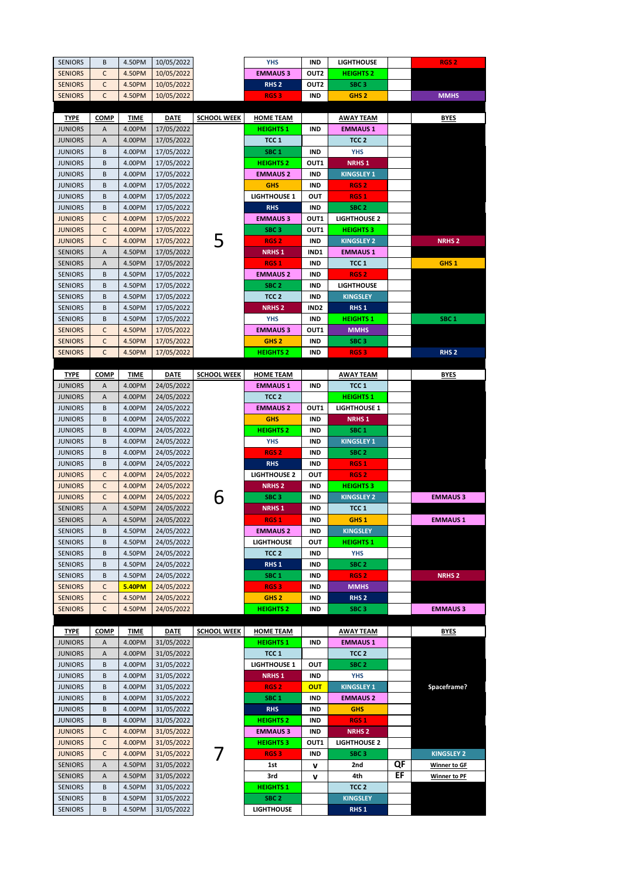| <b>SENIORS</b> | В           | 4.50PM        | 10/05/2022  |                    | <b>YHS</b>              | IND              | <b>LIGHTHOUSE</b>                  |    | RGS <sub>2</sub>    |
|----------------|-------------|---------------|-------------|--------------------|-------------------------|------------------|------------------------------------|----|---------------------|
| <b>SENIORS</b> | C           | 4.50PM        | 10/05/2022  |                    | <b>EMMAUS 3</b>         | OUT <sub>2</sub> | <b>HEIGHTS 2</b>                   |    |                     |
| <b>SENIORS</b> | С           | 4.50PM        | 10/05/2022  |                    | RHS <sub>2</sub>        | OUT2             | SBC <sub>3</sub>                   |    |                     |
| <b>SENIORS</b> | C           | 4.50PM        | 10/05/2022  |                    | RGS <sub>3</sub>        | IND              | GHS <sub>2</sub>                   |    | <b>MMHS</b>         |
|                |             |               |             |                    |                         |                  |                                    |    |                     |
| <b>TYPE</b>    | <b>COMP</b> | TIME          | <b>DATE</b> | <b>SCHOOL WEEK</b> | <b>HOME TEAM</b>        |                  | <b>AWAY TEAM</b>                   |    | BYES                |
| <b>JUNIORS</b> | A           | 4.00PM        | 17/05/2022  |                    | <b>HEIGHTS1</b>         | IND              | <b>EMMAUS 1</b>                    |    |                     |
| <b>JUNIORS</b> | Α           | 4.00PM        | 17/05/2022  |                    | TCC 1                   |                  | TCC <sub>2</sub>                   |    |                     |
| <b>JUNIORS</b> | В           | 4.00PM        | 17/05/2022  |                    | SBC <sub>1</sub>        | <b>IND</b>       | <b>YHS</b>                         |    |                     |
| <b>JUNIORS</b> | B           | 4.00PM        | 17/05/2022  |                    | <b>HEIGHTS 2</b>        | OUT1             | <b>NRHS1</b>                       |    |                     |
| <b>JUNIORS</b> | B           | 4.00PM        | 17/05/2022  |                    | <b>EMMAUS 2</b>         | IND              | <b>KINGSLEY 1</b>                  |    |                     |
| <b>JUNIORS</b> | B           | 4.00PM        | 17/05/2022  |                    | <b>GHS</b>              | IND              | RGS <sub>2</sub>                   |    |                     |
| <b>JUNIORS</b> | В           | 4.00PM        | 17/05/2022  |                    | <b>LIGHTHOUSE 1</b>     | Ουτ              | RGS <sub>1</sub>                   |    |                     |
| <b>JUNIORS</b> | В           | 4.00PM        | 17/05/2022  |                    | <b>RHS</b>              | IND              | SBC <sub>2</sub>                   |    |                     |
| <b>JUNIORS</b> | C           | 4.00PM        | 17/05/2022  |                    | <b>EMMAUS 3</b>         | OUT1             | <b>LIGHTHOUSE 2</b>                |    |                     |
| <b>JUNIORS</b> | C           | 4.00PM        | 17/05/2022  |                    | SBC <sub>3</sub>        | OUT1             | <b>HEIGHTS 3</b>                   |    |                     |
| <b>JUNIORS</b> | C           | 4.00PM        | 17/05/2022  |                    | RGS <sub>2</sub>        | IND              | <b>KINGSLEY 2</b>                  |    | <b>NRHS2</b>        |
| <b>SENIORS</b> | Α           | 4.50PM        | 17/05/2022  |                    | <b>NRHS1</b>            | IND <sub>1</sub> | <b>EMMAUS 1</b>                    |    |                     |
| <b>SENIORS</b> | Α           | 4.50PM        | 17/05/2022  |                    | RGS <sub>1</sub>        | IND              | TCC 1                              |    | GHS <sub>1</sub>    |
| <b>SENIORS</b> | B           | 4.50PM        | 17/05/2022  |                    | <b>EMMAUS 2</b>         | IND              | RGS <sub>2</sub>                   |    |                     |
| <b>SENIORS</b> | В           | 4.50PM        | 17/05/2022  |                    | SBC <sub>2</sub>        | IND              | <b>LIGHTHOUSE</b>                  |    |                     |
| <b>SENIORS</b> | В           | 4.50PM        | 17/05/2022  |                    | TCC <sub>2</sub>        | IND              | <b>KINGSLEY</b>                    |    |                     |
| <b>SENIORS</b> | В           | 4.50PM        | 17/05/2022  |                    | <b>NRHS 2</b>           | IND <sub>2</sub> | RHS <sub>1</sub>                   |    |                     |
| <b>SENIORS</b> | B           | 4.50PM        | 17/05/2022  |                    | <b>YHS</b>              | IND              | <b>HEIGHTS 1</b>                   |    | SBC <sub>1</sub>    |
| <b>SENIORS</b> | C           | 4.50PM        | 17/05/2022  |                    | <b>EMMAUS 3</b>         | OUT1             | <b>MMHS</b>                        |    |                     |
| <b>SENIORS</b> | C           | 4.50PM        | 17/05/2022  |                    | GHS <sub>2</sub>        | IND              | SBC <sub>3</sub>                   |    |                     |
| <b>SENIORS</b> | C           | 4.50PM        | 17/05/2022  |                    | <b>HEIGHTS 2</b>        | IND              | <b>RGS3</b>                        |    | RHS <sub>2</sub>    |
|                |             |               |             |                    |                         |                  |                                    |    |                     |
| <b>TYPE</b>    | <b>COMP</b> | TIME          | <b>DATE</b> | <b>SCHOOL WEEK</b> | <b>HOME TEAM</b>        |                  | <b>AWAY TEAM</b>                   |    | <b>BYES</b>         |
| <b>JUNIORS</b> | Α           | 4.00PM        | 24/05/2022  |                    | <b>EMMAUS 1</b>         | IND              | TCC 1                              |    |                     |
| <b>JUNIORS</b> | Α           | 4.00PM        | 24/05/2022  |                    | TCC <sub>2</sub>        |                  | <b>HEIGHTS 1</b>                   |    |                     |
| <b>JUNIORS</b> | В           | 4.00PM        | 24/05/2022  |                    | <b>EMMAUS 2</b>         | OUT1             | <b>LIGHTHOUSE 1</b>                |    |                     |
| <b>JUNIORS</b> | B           | 4.00PM        | 24/05/2022  |                    | <b>GHS</b>              | IND              | <b>NRHS1</b>                       |    |                     |
| <b>JUNIORS</b> | В           | 4.00PM        | 24/05/2022  |                    | <b>HEIGHTS 2</b>        | IND              | SBC <sub>1</sub>                   |    |                     |
| <b>JUNIORS</b> | B           | 4.00PM        | 24/05/2022  |                    | YHS                     | IND              | <b>KINGSLEY 1</b>                  |    |                     |
| <b>JUNIORS</b> | B           | 4.00PM        | 24/05/2022  |                    | RGS <sub>2</sub>        | IND              | SBC <sub>2</sub>                   |    |                     |
| <b>JUNIORS</b> | В           | 4.00PM        | 24/05/2022  |                    | <b>RHS</b>              | IND              | RGS 1                              |    |                     |
| <b>JUNIORS</b> | C           | 4.00PM        | 24/05/2022  |                    | <b>LIGHTHOUSE 2</b>     | Ουτ              | RGS <sub>2</sub>                   |    |                     |
| <b>JUNIORS</b> | C           | 4.00PM        | 24/05/2022  |                    | <b>NRHS2</b>            | IND              | <b>HEIGHTS 3</b>                   |    |                     |
| <b>JUNIORS</b> | C           | 4.00PM        | 24/05/2022  | 6                  | SBC <sub>3</sub>        | IND              | <b>KINGSLEY 2</b>                  |    | <b>EMMAUS 3</b>     |
| <b>SENIORS</b> | Α           | 4.50PM        | 24/05/2022  |                    | <b>NRHS1</b>            | IND              | TCC 1                              |    |                     |
| <b>SENIORS</b> | Α           | 4.50PM        | 24/05/2022  |                    | <b>RGS1</b>             | <b>IND</b>       | GHS <sub>1</sub>                   |    | <b>EMMAUS 1</b>     |
| <b>SENIORS</b> | B           | 4.50PM        | 24/05/2022  |                    | <b>EMMAUS 2</b>         | IND              | <b>KINGSLEY</b>                    |    |                     |
| <b>SENIORS</b> | B           | 4.50PM        | 24/05/2022  |                    | <b>LIGHTHOUSE</b>       | OUT              | <b>HEIGHTS 1</b>                   |    |                     |
| <b>SENIORS</b> | В           | 4.50PM        | 24/05/2022  |                    | TCC <sub>2</sub>        | IND              | YHS                                |    |                     |
| <b>SENIORS</b> | В           | 4.50PM        | 24/05/2022  |                    | RHS <sub>1</sub>        | IND              | SBC <sub>2</sub>                   |    |                     |
| <b>SENIORS</b> | B           | 4.50PM        | 24/05/2022  |                    | SBC <sub>1</sub>        | IND              | RGS <sub>2</sub>                   |    | <b>NRHS2</b>        |
| <b>SENIORS</b> | С           | <b>5.40PM</b> | 24/05/2022  |                    | RGS <sub>3</sub>        | IND              | <b>MMHS</b>                        |    |                     |
| <b>SENIORS</b> | C           | 4.50PM        | 24/05/2022  |                    | GHS <sub>2</sub>        | IND              | RHS <sub>2</sub>                   |    |                     |
| <b>SENIORS</b> | C           | 4.50PM        | 24/05/2022  |                    | <b>HEIGHTS 2</b>        | IND              | SBC <sub>3</sub>                   |    | <b>EMMAUS 3</b>     |
|                |             |               |             | <b>SCHOOL WEEK</b> |                         |                  |                                    |    |                     |
| <b>TYPE</b>    | <b>COMP</b> | <b>TIME</b>   | <b>DATE</b> |                    | <b>HOME TEAM</b>        |                  | <b>AWAY TEAM</b>                   |    | <b>BYES</b>         |
| <b>JUNIORS</b> | Α           | 4.00PM        | 31/05/2022  |                    | <b>HEIGHTS 1</b>        | IND              | <b>EMMAUS1</b><br>TCC <sub>2</sub> |    |                     |
| <b>JUNIORS</b> | Α           | 4.00PM        | 31/05/2022  |                    | TCC 1                   |                  |                                    |    |                     |
| <b>JUNIORS</b> | B           | 4.00PM        | 31/05/2022  |                    | <b>LIGHTHOUSE 1</b>     | Ουτ              | SBC <sub>2</sub>                   |    |                     |
| <b>JUNIORS</b> | В           | 4.00PM        | 31/05/2022  |                    | <b>NRHS1</b>            | IND              | <b>YHS</b>                         |    |                     |
| <b>JUNIORS</b> | B           | 4.00PM        | 31/05/2022  |                    | RGS <sub>2</sub>        | <b>OUT</b>       | <b>KINGSLEY 1</b>                  |    | Spaceframe?         |
| <b>JUNIORS</b> | В           | 4.00PM        | 31/05/2022  |                    | SBC <sub>1</sub>        | IND              | <b>EMMAUS 2</b>                    |    |                     |
| <b>JUNIORS</b> | B           | 4.00PM        | 31/05/2022  |                    | <b>RHS</b>              | IND              | <b>GHS</b>                         |    |                     |
| <b>JUNIORS</b> | B           | 4.00PM        | 31/05/2022  |                    | <b>HEIGHTS 2</b>        | IND              | RGS <sub>1</sub>                   |    |                     |
| <b>JUNIORS</b> | C           | 4.00PM        | 31/05/2022  |                    | <b>EMMAUS 3</b>         | IND              | <b>NRHS2</b>                       |    |                     |
| <b>JUNIORS</b> | C           | 4.00PM        | 31/05/2022  |                    | <b>HEIGHTS 3</b>        | OUT1             | <b>LIGHTHOUSE 2</b>                |    |                     |
| <b>JUNIORS</b> | C           | 4.00PM        | 31/05/2022  |                    | RGS <sub>3</sub>        | IND              | SBC <sub>3</sub>                   | QF | <b>KINGSLEY 2</b>   |
| <b>SENIORS</b> | Α           | 4.50PM        | 31/05/2022  |                    | 1st                     | v                | 2nd                                | EF | <b>Winner to GF</b> |
| <b>SENIORS</b> | Α<br>B      | 4.50PM        | 31/05/2022  |                    | 3rd<br><b>HEIGHTS 1</b> | v                | 4th                                |    | <b>Winner to PF</b> |
| <b>SENIORS</b> | B           | 4.50PM        | 31/05/2022  |                    |                         |                  | TCC <sub>2</sub>                   |    |                     |
| <b>SENIORS</b> |             | 4.50PM        | 31/05/2022  |                    | SBC <sub>2</sub>        |                  | <b>KINGSLEY</b>                    |    |                     |
| <b>SENIORS</b> | B           | 4.50PM        | 31/05/2022  |                    | <b>LIGHTHOUSE</b>       |                  | RHS <sub>1</sub>                   |    |                     |